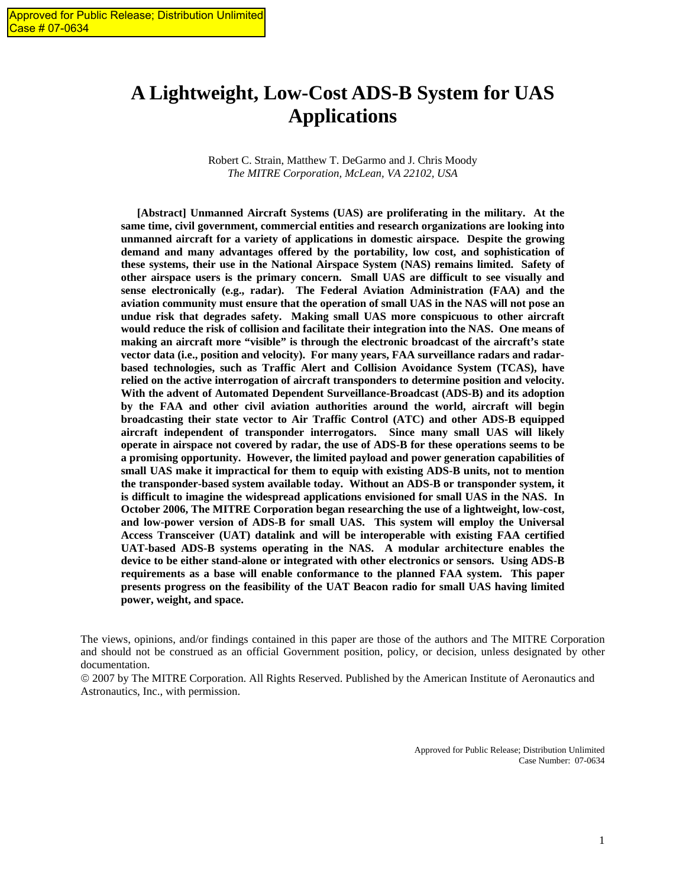# **A Lightweight, Low-Cost ADS-B System for UAS Applications**

Robert C. Strain, Matthew T. DeGarmo and J. Chris Moody *The MITRE Corporation, McLean, VA 22102, USA* 

**[Abstract] Unmanned Aircraft Systems (UAS) are proliferating in the military. At the same time, civil government, commercial entities and research organizations are looking into unmanned aircraft for a variety of applications in domestic airspace. Despite the growing demand and many advantages offered by the portability, low cost, and sophistication of these systems, their use in the National Airspace System (NAS) remains limited. Safety of other airspace users is the primary concern. Small UAS are difficult to see visually and sense electronically (e.g., radar). The Federal Aviation Administration (FAA) and the aviation community must ensure that the operation of small UAS in the NAS will not pose an undue risk that degrades safety. Making small UAS more conspicuous to other aircraft would reduce the risk of collision and facilitate their integration into the NAS. One means of making an aircraft more "visible" is through the electronic broadcast of the aircraft's state vector data (i.e., position and velocity). For many years, FAA surveillance radars and radarbased technologies, such as Traffic Alert and Collision Avoidance System (TCAS), have relied on the active interrogation of aircraft transponders to determine position and velocity. With the advent of Automated Dependent Surveillance-Broadcast (ADS-B) and its adoption by the FAA and other civil aviation authorities around the world, aircraft will begin broadcasting their state vector to Air Traffic Control (ATC) and other ADS-B equipped aircraft independent of transponder interrogators. Since many small UAS will likely operate in airspace not covered by radar, the use of ADS-B for these operations seems to be a promising opportunity. However, the limited payload and power generation capabilities of small UAS make it impractical for them to equip with existing ADS-B units, not to mention the transponder-based system available today. Without an ADS-B or transponder system, it is difficult to imagine the widespread applications envisioned for small UAS in the NAS. In October 2006, The MITRE Corporation began researching the use of a lightweight, low-cost, and low-power version of ADS-B for small UAS. This system will employ the Universal Access Transceiver (UAT) datalink and will be interoperable with existing FAA certified UAT-based ADS-B systems operating in the NAS. A modular architecture enables the device to be either stand-alone or integrated with other electronics or sensors. Using ADS-B requirements as a base will enable conformance to the planned FAA system. This paper presents progress on the feasibility of the UAT Beacon radio for small UAS having limited power, weight, and space.** 

The views, opinions, and/or findings contained in this paper are those of the authors and The MITRE Corporation and should not be construed as an official Government position, policy, or decision, unless designated by other documentation.

© 2007 by The MITRE Corporation. All Rights Reserved. Published by the American Institute of Aeronautics and Astronautics, Inc., with permission.

> Approved for Public Release; Distribution Unlimited Case Number: 07-0634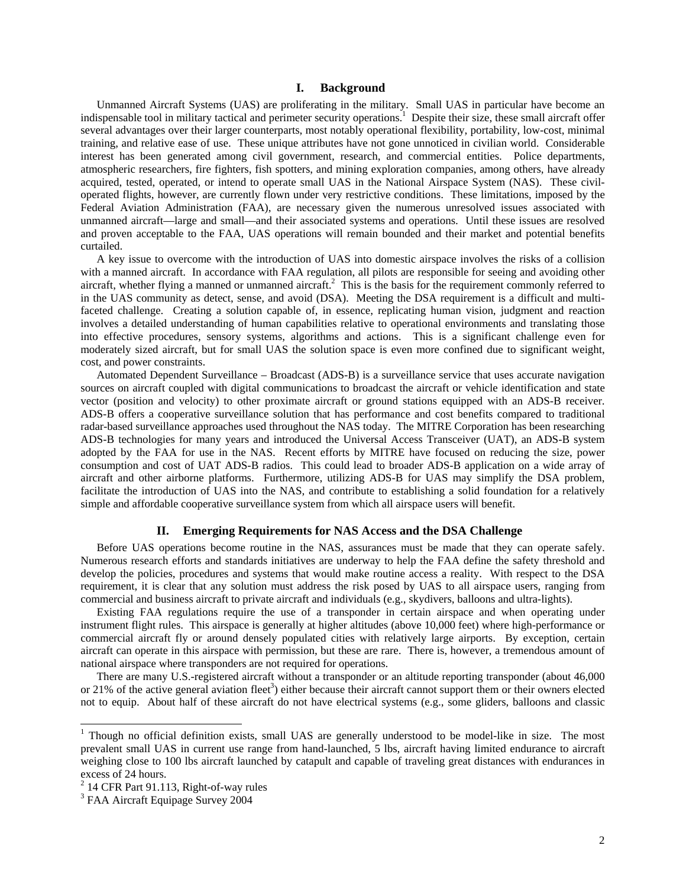# **I. Background**

Unmanned Aircraft Systems (UAS) are proliferating in the military. Small UAS in particular have become an indispensable tool in military tactical and perimeter security operations.<sup>1</sup> Despite their size, these small aircraft offer several advantages over their larger counterparts, most notably operational flexibility, portability, low-cost, minimal training, and relative ease of use. These unique attributes have not gone unnoticed in civilian world. Considerable interest has been generated among civil government, research, and commercial entities. Police departments, atmospheric researchers, fire fighters, fish spotters, and mining exploration companies, among others, have already acquired, tested, operated, or intend to operate small UAS in the National Airspace System (NAS). These civiloperated flights, however, are currently flown under very restrictive conditions. These limitations, imposed by the Federal Aviation Administration (FAA), are necessary given the numerous unresolved issues associated with unmanned aircraft—large and small—and their associated systems and operations. Until these issues are resolved and proven acceptable to the FAA, UAS operations will remain bounded and their market and potential benefits curtailed.

A key issue to overcome with the introduction of UAS into domestic airspace involves the risks of a collision with a manned aircraft. In accordance with FAA regulation, all pilots are responsible for seeing and avoiding other aircraft, whether flying a manned or unmanned aircraft.<sup>2</sup> This is the basis for the requirement commonly referred to in the UAS community as detect, sense, and avoid (DSA). Meeting the DSA requirement is a difficult and multifaceted challenge. Creating a solution capable of, in essence, replicating human vision, judgment and reaction involves a detailed understanding of human capabilities relative to operational environments and translating those into effective procedures, sensory systems, algorithms and actions. This is a significant challenge even for moderately sized aircraft, but for small UAS the solution space is even more confined due to significant weight, cost, and power constraints.

Automated Dependent Surveillance – Broadcast (ADS-B) is a surveillance service that uses accurate navigation sources on aircraft coupled with digital communications to broadcast the aircraft or vehicle identification and state vector (position and velocity) to other proximate aircraft or ground stations equipped with an ADS-B receiver. ADS-B offers a cooperative surveillance solution that has performance and cost benefits compared to traditional radar-based surveillance approaches used throughout the NAS today. The MITRE Corporation has been researching ADS-B technologies for many years and introduced the Universal Access Transceiver (UAT), an ADS-B system adopted by the FAA for use in the NAS. Recent efforts by MITRE have focused on reducing the size, power consumption and cost of UAT ADS-B radios. This could lead to broader ADS-B application on a wide array of aircraft and other airborne platforms. Furthermore, utilizing ADS-B for UAS may simplify the DSA problem, facilitate the introduction of UAS into the NAS, and contribute to establishing a solid foundation for a relatively simple and affordable cooperative surveillance system from which all airspace users will benefit.

# **II. Emerging Requirements for NAS Access and the DSA Challenge**

Before UAS operations become routine in the NAS, assurances must be made that they can operate safely. Numerous research efforts and standards initiatives are underway to help the FAA define the safety threshold and develop the policies, procedures and systems that would make routine access a reality. With respect to the DSA requirement, it is clear that any solution must address the risk posed by UAS to all airspace users, ranging from commercial and business aircraft to private aircraft and individuals (e.g., skydivers, balloons and ultra-lights).

Existing FAA regulations require the use of a transponder in certain airspace and when operating under instrument flight rules. This airspace is generally at higher altitudes (above 10,000 feet) where high-performance or commercial aircraft fly or around densely populated cities with relatively large airports. By exception, certain aircraft can operate in this airspace with permission, but these are rare. There is, however, a tremendous amount of national airspace where transponders are not required for operations.

There are many U.S.-registered aircraft without a transponder or an altitude reporting transponder (about 46,000 or 21% of the active general aviation fleet<sup>3</sup>) either because their aircraft cannot support them or their owners elected not to equip. About half of these aircraft do not have electrical systems (e.g., some gliders, balloons and classic

<sup>&</sup>lt;sup>1</sup> Though no official definition exists, small UAS are generally understood to be model-like in size. The most prevalent small UAS in current use range from hand-launched, 5 lbs, aircraft having limited endurance to aircraft weighing close to 100 lbs aircraft launched by catapult and capable of traveling great distances with endurances in excess of 24 hours.

 $2$  14 CFR Part 91.113, Right-of-way rules

<sup>3</sup> FAA Aircraft Equipage Survey 2004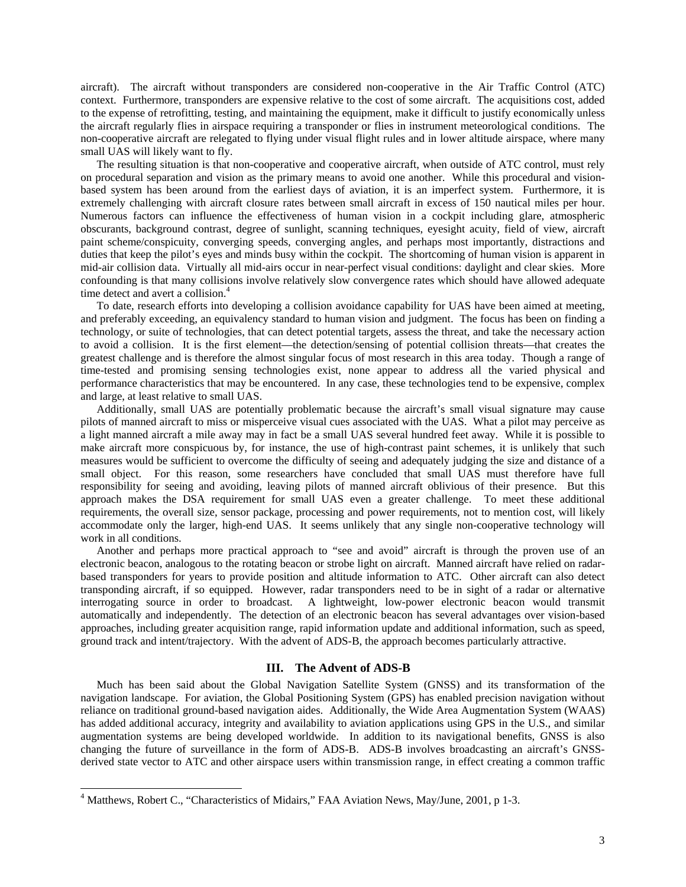aircraft). The aircraft without transponders are considered non-cooperative in the Air Traffic Control (ATC) context. Furthermore, transponders are expensive relative to the cost of some aircraft. The acquisitions cost, added to the expense of retrofitting, testing, and maintaining the equipment, make it difficult to justify economically unless the aircraft regularly flies in airspace requiring a transponder or flies in instrument meteorological conditions. The non-cooperative aircraft are relegated to flying under visual flight rules and in lower altitude airspace, where many small UAS will likely want to fly.

The resulting situation is that non-cooperative and cooperative aircraft, when outside of ATC control, must rely on procedural separation and vision as the primary means to avoid one another. While this procedural and visionbased system has been around from the earliest days of aviation, it is an imperfect system. Furthermore, it is extremely challenging with aircraft closure rates between small aircraft in excess of 150 nautical miles per hour. Numerous factors can influence the effectiveness of human vision in a cockpit including glare, atmospheric obscurants, background contrast, degree of sunlight, scanning techniques, eyesight acuity, field of view, aircraft paint scheme/conspicuity, converging speeds, converging angles, and perhaps most importantly, distractions and duties that keep the pilot's eyes and minds busy within the cockpit. The shortcoming of human vision is apparent in mid-air collision data. Virtually all mid-airs occur in near-perfect visual conditions: daylight and clear skies. More confounding is that many collisions involve relatively slow convergence rates which should have allowed adequate time detect and avert a collision.<sup>4</sup>

To date, research efforts into developing a collision avoidance capability for UAS have been aimed at meeting, and preferably exceeding, an equivalency standard to human vision and judgment. The focus has been on finding a technology, or suite of technologies, that can detect potential targets, assess the threat, and take the necessary action to avoid a collision. It is the first element—the detection/sensing of potential collision threats—that creates the greatest challenge and is therefore the almost singular focus of most research in this area today. Though a range of time-tested and promising sensing technologies exist, none appear to address all the varied physical and performance characteristics that may be encountered. In any case, these technologies tend to be expensive, complex and large, at least relative to small UAS.

Additionally, small UAS are potentially problematic because the aircraft's small visual signature may cause pilots of manned aircraft to miss or misperceive visual cues associated with the UAS. What a pilot may perceive as a light manned aircraft a mile away may in fact be a small UAS several hundred feet away. While it is possible to make aircraft more conspicuous by, for instance, the use of high-contrast paint schemes, it is unlikely that such measures would be sufficient to overcome the difficulty of seeing and adequately judging the size and distance of a small object. For this reason, some researchers have concluded that small UAS must therefore have full responsibility for seeing and avoiding, leaving pilots of manned aircraft oblivious of their presence. But this approach makes the DSA requirement for small UAS even a greater challenge. To meet these additional requirements, the overall size, sensor package, processing and power requirements, not to mention cost, will likely accommodate only the larger, high-end UAS. It seems unlikely that any single non-cooperative technology will work in all conditions.

Another and perhaps more practical approach to "see and avoid" aircraft is through the proven use of an electronic beacon, analogous to the rotating beacon or strobe light on aircraft. Manned aircraft have relied on radarbased transponders for years to provide position and altitude information to ATC. Other aircraft can also detect transponding aircraft, if so equipped. However, radar transponders need to be in sight of a radar or alternative interrogating source in order to broadcast. A lightweight, low-power electronic beacon would transmit automatically and independently. The detection of an electronic beacon has several advantages over vision-based approaches, including greater acquisition range, rapid information update and additional information, such as speed, ground track and intent/trajectory. With the advent of ADS-B, the approach becomes particularly attractive.

# **III. The Advent of ADS-B**

Much has been said about the Global Navigation Satellite System (GNSS) and its transformation of the navigation landscape. For aviation, the Global Positioning System (GPS) has enabled precision navigation without reliance on traditional ground-based navigation aides. Additionally, the Wide Area Augmentation System (WAAS) has added additional accuracy, integrity and availability to aviation applications using GPS in the U.S., and similar augmentation systems are being developed worldwide. In addition to its navigational benefits, GNSS is also changing the future of surveillance in the form of ADS-B. ADS-B involves broadcasting an aircraft's GNSSderived state vector to ATC and other airspace users within transmission range, in effect creating a common traffic

 $\overline{\phantom{a}}$ 

<sup>&</sup>lt;sup>4</sup> Matthews, Robert C., "Characteristics of Midairs," FAA Aviation News, May/June, 2001, p 1-3.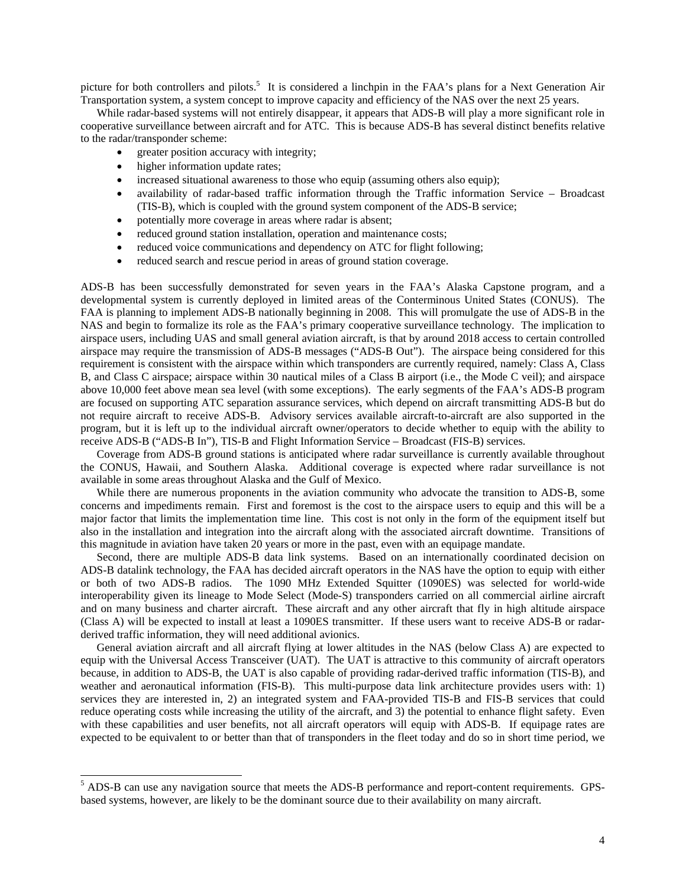picture for both controllers and pilots.<sup>5</sup> It is considered a linchpin in the FAA's plans for a Next Generation Air Transportation system, a system concept to improve capacity and efficiency of the NAS over the next 25 years.

While radar-based systems will not entirely disappear, it appears that ADS-B will play a more significant role in cooperative surveillance between aircraft and for ATC. This is because ADS-B has several distinct benefits relative to the radar/transponder scheme:

- greater position accuracy with integrity;
- higher information update rates;

 $\overline{\phantom{a}}$ 

- increased situational awareness to those who equip (assuming others also equip);
- availability of radar-based traffic information through the Traffic information Service Broadcast (TIS-B), which is coupled with the ground system component of the ADS-B service;
- potentially more coverage in areas where radar is absent;
- reduced ground station installation, operation and maintenance costs;
- reduced voice communications and dependency on ATC for flight following;
- reduced search and rescue period in areas of ground station coverage.

ADS-B has been successfully demonstrated for seven years in the FAA's Alaska Capstone program, and a developmental system is currently deployed in limited areas of the Conterminous United States (CONUS). The FAA is planning to implement ADS-B nationally beginning in 2008. This will promulgate the use of ADS-B in the NAS and begin to formalize its role as the FAA's primary cooperative surveillance technology. The implication to airspace users, including UAS and small general aviation aircraft, is that by around 2018 access to certain controlled airspace may require the transmission of ADS-B messages ("ADS-B Out"). The airspace being considered for this requirement is consistent with the airspace within which transponders are currently required, namely: Class A, Class B, and Class C airspace; airspace within 30 nautical miles of a Class B airport (i.e., the Mode C veil); and airspace above 10,000 feet above mean sea level (with some exceptions). The early segments of the FAA's ADS-B program are focused on supporting ATC separation assurance services, which depend on aircraft transmitting ADS-B but do not require aircraft to receive ADS-B. Advisory services available aircraft-to-aircraft are also supported in the program, but it is left up to the individual aircraft owner/operators to decide whether to equip with the ability to receive ADS-B ("ADS-B In"), TIS-B and Flight Information Service – Broadcast (FIS-B) services.

Coverage from ADS-B ground stations is anticipated where radar surveillance is currently available throughout the CONUS, Hawaii, and Southern Alaska. Additional coverage is expected where radar surveillance is not available in some areas throughout Alaska and the Gulf of Mexico.

While there are numerous proponents in the aviation community who advocate the transition to ADS-B, some concerns and impediments remain. First and foremost is the cost to the airspace users to equip and this will be a major factor that limits the implementation time line. This cost is not only in the form of the equipment itself but also in the installation and integration into the aircraft along with the associated aircraft downtime. Transitions of this magnitude in aviation have taken 20 years or more in the past, even with an equipage mandate.

Second, there are multiple ADS-B data link systems. Based on an internationally coordinated decision on ADS-B datalink technology, the FAA has decided aircraft operators in the NAS have the option to equip with either or both of two ADS-B radios. The 1090 MHz Extended Squitter (1090ES) was selected for world-wide interoperability given its lineage to Mode Select (Mode-S) transponders carried on all commercial airline aircraft and on many business and charter aircraft. These aircraft and any other aircraft that fly in high altitude airspace (Class A) will be expected to install at least a 1090ES transmitter. If these users want to receive ADS-B or radarderived traffic information, they will need additional avionics.

General aviation aircraft and all aircraft flying at lower altitudes in the NAS (below Class A) are expected to equip with the Universal Access Transceiver (UAT). The UAT is attractive to this community of aircraft operators because, in addition to ADS-B, the UAT is also capable of providing radar-derived traffic information (TIS-B), and weather and aeronautical information (FIS-B). This multi-purpose data link architecture provides users with: 1) services they are interested in, 2) an integrated system and FAA-provided TIS-B and FIS-B services that could reduce operating costs while increasing the utility of the aircraft, and 3) the potential to enhance flight safety. Even with these capabilities and user benefits, not all aircraft operators will equip with ADS-B. If equipage rates are expected to be equivalent to or better than that of transponders in the fleet today and do so in short time period, we

<sup>&</sup>lt;sup>5</sup> ADS-B can use any navigation source that meets the ADS-B performance and report-content requirements. GPSbased systems, however, are likely to be the dominant source due to their availability on many aircraft.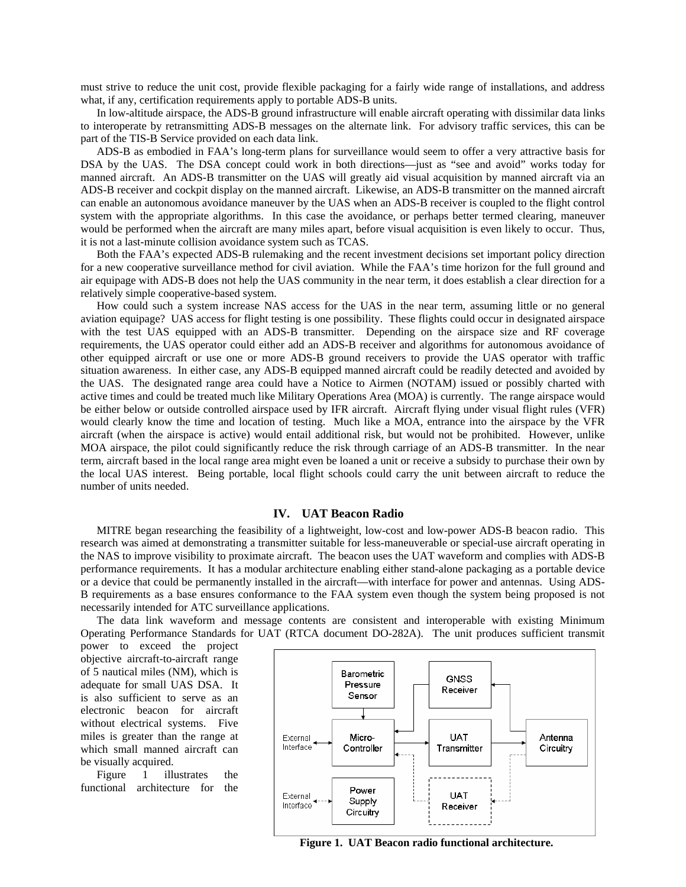must strive to reduce the unit cost, provide flexible packaging for a fairly wide range of installations, and address what, if any, certification requirements apply to portable ADS-B units.

In low-altitude airspace, the ADS-B ground infrastructure will enable aircraft operating with dissimilar data links to interoperate by retransmitting ADS-B messages on the alternate link. For advisory traffic services, this can be part of the TIS-B Service provided on each data link.

ADS-B as embodied in FAA's long-term plans for surveillance would seem to offer a very attractive basis for DSA by the UAS. The DSA concept could work in both directions—just as "see and avoid" works today for manned aircraft. An ADS-B transmitter on the UAS will greatly aid visual acquisition by manned aircraft via an ADS-B receiver and cockpit display on the manned aircraft. Likewise, an ADS-B transmitter on the manned aircraft can enable an autonomous avoidance maneuver by the UAS when an ADS-B receiver is coupled to the flight control system with the appropriate algorithms. In this case the avoidance, or perhaps better termed clearing, maneuver would be performed when the aircraft are many miles apart, before visual acquisition is even likely to occur. Thus, it is not a last-minute collision avoidance system such as TCAS.

Both the FAA's expected ADS-B rulemaking and the recent investment decisions set important policy direction for a new cooperative surveillance method for civil aviation. While the FAA's time horizon for the full ground and air equipage with ADS-B does not help the UAS community in the near term, it does establish a clear direction for a relatively simple cooperative-based system.

How could such a system increase NAS access for the UAS in the near term, assuming little or no general aviation equipage? UAS access for flight testing is one possibility. These flights could occur in designated airspace with the test UAS equipped with an ADS-B transmitter. Depending on the airspace size and RF coverage requirements, the UAS operator could either add an ADS-B receiver and algorithms for autonomous avoidance of other equipped aircraft or use one or more ADS-B ground receivers to provide the UAS operator with traffic situation awareness. In either case, any ADS-B equipped manned aircraft could be readily detected and avoided by the UAS. The designated range area could have a Notice to Airmen (NOTAM) issued or possibly charted with active times and could be treated much like Military Operations Area (MOA) is currently. The range airspace would be either below or outside controlled airspace used by IFR aircraft. Aircraft flying under visual flight rules (VFR) would clearly know the time and location of testing. Much like a MOA, entrance into the airspace by the VFR aircraft (when the airspace is active) would entail additional risk, but would not be prohibited. However, unlike MOA airspace, the pilot could significantly reduce the risk through carriage of an ADS-B transmitter. In the near term, aircraft based in the local range area might even be loaned a unit or receive a subsidy to purchase their own by the local UAS interest. Being portable, local flight schools could carry the unit between aircraft to reduce the number of units needed.

#### **IV. UAT Beacon Radio**

MITRE began researching the feasibility of a lightweight, low-cost and low-power ADS-B beacon radio. This research was aimed at demonstrating a transmitter suitable for less-maneuverable or special-use aircraft operating in the NAS to improve visibility to proximate aircraft. The beacon uses the UAT waveform and complies with ADS-B performance requirements. It has a modular architecture enabling either stand-alone packaging as a portable device or a device that could be permanently installed in the aircraft—with interface for power and antennas. Using ADS-B requirements as a base ensures conformance to the FAA system even though the system being proposed is not necessarily intended for ATC surveillance applications.

The data link waveform and message contents are consistent and interoperable with existing Minimum Operating Performance Standards for UAT (RTCA document DO-282A). The unit produces sufficient transmit

power to exceed the project objective aircraft-to-aircraft range of 5 nautical miles (NM), which is adequate for small UAS DSA. It is also sufficient to serve as an electronic beacon for aircraft without electrical systems. Five miles is greater than the range at which small manned aircraft can be visually acquired.

Figure 1 illustrates the functional architecture for the



**Figure 1. UAT Beacon radio functional architecture.**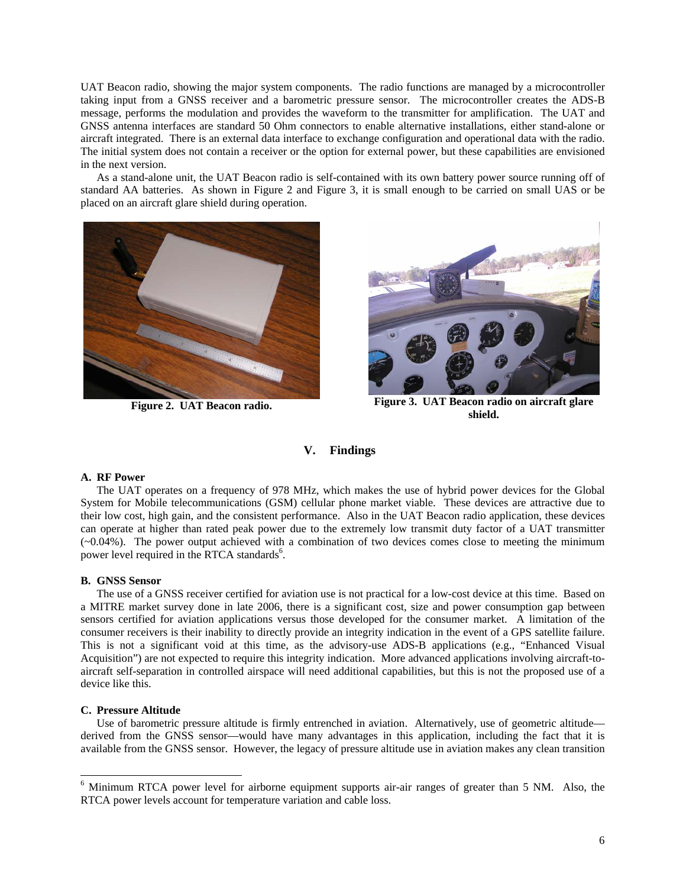UAT Beacon radio, showing the major system components. The radio functions are managed by a microcontroller taking input from a GNSS receiver and a barometric pressure sensor. The microcontroller creates the ADS-B message, performs the modulation and provides the waveform to the transmitter for amplification. The UAT and GNSS antenna interfaces are standard 50 Ohm connectors to enable alternative installations, either stand-alone or aircraft integrated. There is an external data interface to exchange configuration and operational data with the radio. The initial system does not contain a receiver or the option for external power, but these capabilities are envisioned in the next version.

As a stand-alone unit, the UAT Beacon radio is self-contained with its own battery power source running off of standard AA batteries. As shown in Figure 2 and Figure 3, it is small enough to be carried on small UAS or be placed on an aircraft glare shield during operation.





**Figure 2. UAT Beacon radio. Figure 3. UAT Beacon radio on aircraft glare shield.** 

# **V. Findings**

#### **A. RF Power**

The UAT operates on a frequency of 978 MHz, which makes the use of hybrid power devices for the Global System for Mobile telecommunications (GSM) cellular phone market viable. These devices are attractive due to their low cost, high gain, and the consistent performance. Also in the UAT Beacon radio application, these devices can operate at higher than rated peak power due to the extremely low transmit duty factor of a UAT transmitter (~0.04%). The power output achieved with a combination of two devices comes close to meeting the minimum power level required in the RTCA standards<sup>6</sup>.

# **B. GNSS Sensor**

The use of a GNSS receiver certified for aviation use is not practical for a low-cost device at this time. Based on a MITRE market survey done in late 2006, there is a significant cost, size and power consumption gap between sensors certified for aviation applications versus those developed for the consumer market. A limitation of the consumer receivers is their inability to directly provide an integrity indication in the event of a GPS satellite failure. This is not a significant void at this time, as the advisory-use ADS-B applications (e.g., "Enhanced Visual Acquisition") are not expected to require this integrity indication. More advanced applications involving aircraft-toaircraft self-separation in controlled airspace will need additional capabilities, but this is not the proposed use of a device like this.

#### **C. Pressure Altitude**

 $\overline{\phantom{a}}$ 

Use of barometric pressure altitude is firmly entrenched in aviation. Alternatively, use of geometric altitude derived from the GNSS sensor—would have many advantages in this application, including the fact that it is available from the GNSS sensor. However, the legacy of pressure altitude use in aviation makes any clean transition

<sup>&</sup>lt;sup>6</sup> Minimum RTCA power level for airborne equipment supports air-air ranges of greater than 5 NM. Also, the RTCA power levels account for temperature variation and cable loss.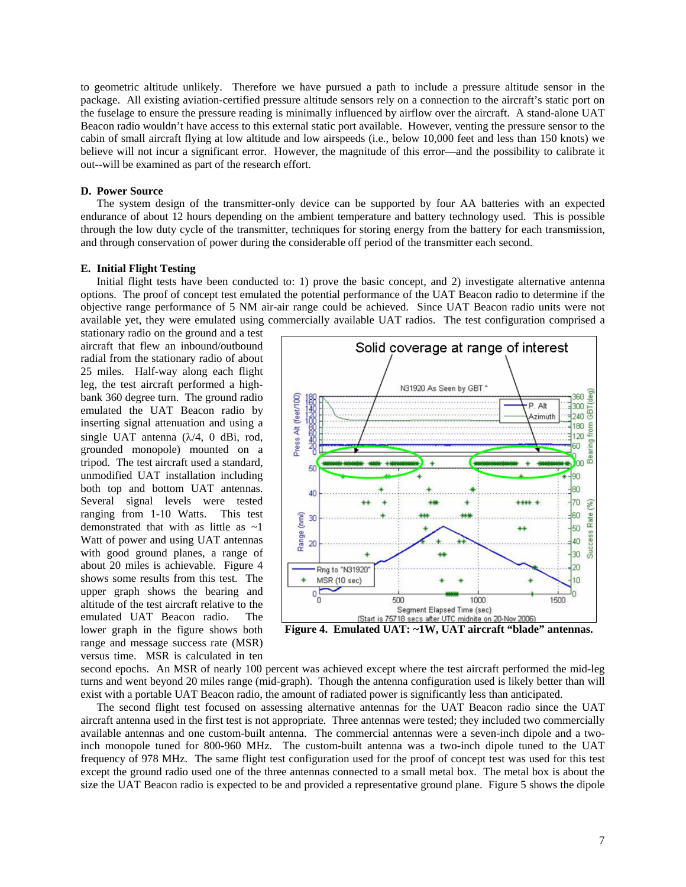to geometric altitude unlikely. Therefore we have pursued a path to include a pressure altitude sensor in the package. All existing aviation-certified pressure altitude sensors rely on a connection to the aircraft's static port on the fuselage to ensure the pressure reading is minimally influenced by airflow over the aircraft. A stand-alone UAT Beacon radio wouldn't have access to this external static port available. However, venting the pressure sensor to the cabin of small aircraft flying at low altitude and low airspeeds (i.e., below 10,000 feet and less than 150 knots) we believe will not incur a significant error. However, the magnitude of this error—and the possibility to calibrate it out--will be examined as part of the research effort.

#### **D. Power Source**

The system design of the transmitter-only device can be supported by four AA batteries with an expected endurance of about 12 hours depending on the ambient temperature and battery technology used. This is possible through the low duty cycle of the transmitter, techniques for storing energy from the battery for each transmission, and through conservation of power during the considerable off period of the transmitter each second.

### **E. Initial Flight Testing**

Initial flight tests have been conducted to: 1) prove the basic concept, and 2) investigate alternative antenna options. The proof of concept test emulated the potential performance of the UAT Beacon radio to determine if the objective range performance of 5 NM air-air range could be achieved. Since UAT Beacon radio units were not available yet, they were emulated using commercially available UAT radios. The test configuration comprised a

stationary radio on the ground and a test aircraft that flew an inbound/outbound radial from the stationary radio of about 25 miles. Half-way along each flight leg, the test aircraft performed a highbank 360 degree turn. The ground radio emulated the UAT Beacon radio by inserting signal attenuation and using a single UAT antenna  $(\lambda/4, 0$  dBi, rod, grounded monopole) mounted on a tripod. The test aircraft used a standard, unmodified UAT installation including both top and bottom UAT antennas. Several signal levels were tested ranging from 1-10 Watts. This test demonstrated that with as little as ~1 Watt of power and using UAT antennas with good ground planes, a range of about 20 miles is achievable. Figure 4 shows some results from this test. The upper graph shows the bearing and altitude of the test aircraft relative to the emulated UAT Beacon radio. The lower graph in the figure shows both range and message success rate (MSR) versus time. MSR is calculated in ten



**Figure 4. Emulated UAT: ~1W, UAT aircraft "blade" antennas.** 

second epochs. An MSR of nearly 100 percent was achieved except where the test aircraft performed the mid-leg turns and went beyond 20 miles range (mid-graph). Though the antenna configuration used is likely better than will exist with a portable UAT Beacon radio, the amount of radiated power is significantly less than anticipated.

The second flight test focused on assessing alternative antennas for the UAT Beacon radio since the UAT aircraft antenna used in the first test is not appropriate. Three antennas were tested; they included two commercially available antennas and one custom-built antenna. The commercial antennas were a seven-inch dipole and a twoinch monopole tuned for 800-960 MHz. The custom-built antenna was a two-inch dipole tuned to the UAT frequency of 978 MHz. The same flight test configuration used for the proof of concept test was used for this test except the ground radio used one of the three antennas connected to a small metal box. The metal box is about the size the UAT Beacon radio is expected to be and provided a representative ground plane. Figure 5 shows the dipole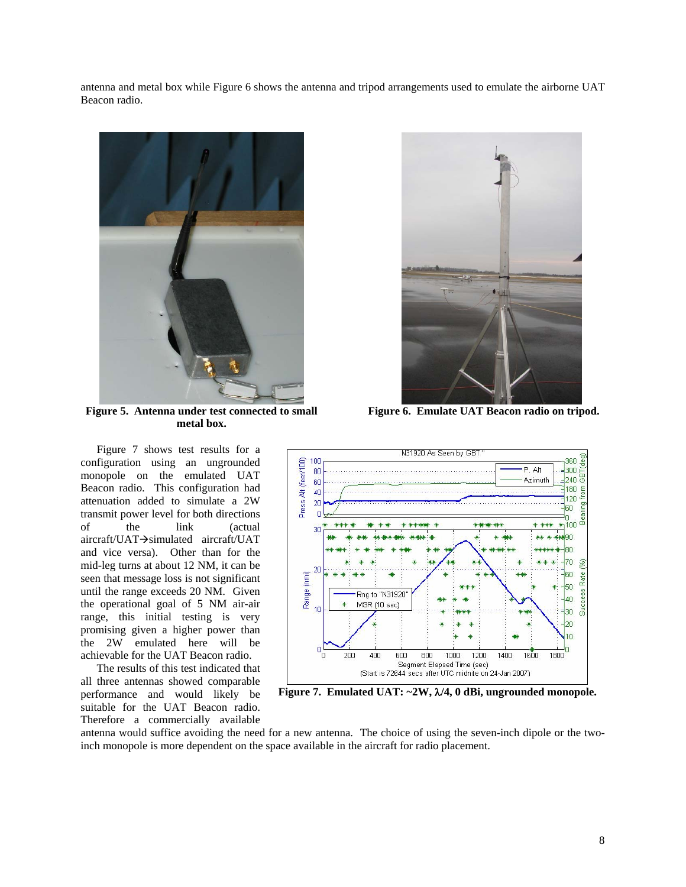antenna and metal box while Figure 6 shows the antenna and tripod arrangements used to emulate the airborne UAT Beacon radio.



**Figure 5. Antenna under test connected to small metal box.** 

Figure 7 shows test results for a configuration using an ungrounded monopole on the emulated UAT Beacon radio. This configuration had attenuation added to simulate a 2W transmit power level for both directions of the link (actual  $aircraft/UAT \rightarrow simulated$   $aircraft/UAT$ and vice versa). Other than for the mid-leg turns at about 12 NM, it can be seen that message loss is not significant until the range exceeds 20 NM. Given the operational goal of 5 NM air-air range, this initial testing is very promising given a higher power than the 2W emulated here will be achievable for the UAT Beacon radio.

The results of this test indicated that all three antennas showed comparable performance and would likely be suitable for the UAT Beacon radio. Therefore a commercially available



**Figure 6. Emulate UAT Beacon radio on tripod.** 



**Figure 7. Emulated UAT: ~2W,** λ**/4, 0 dBi, ungrounded monopole.** 

antenna would suffice avoiding the need for a new antenna. The choice of using the seven-inch dipole or the twoinch monopole is more dependent on the space available in the aircraft for radio placement.